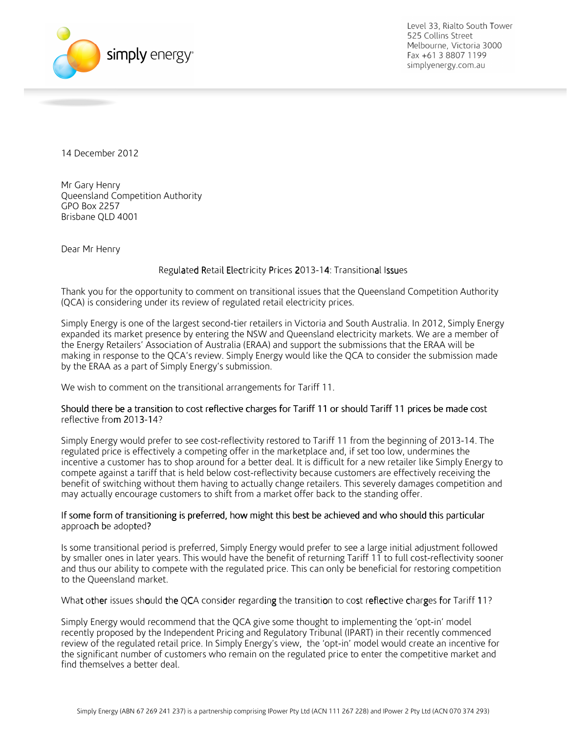

Level 33, Rialto South Tower 525 Collins Street Melbourne, Victoria 3000 Fax +61 3 8807 1199 simplyenergy.com.au

14 December 2012

Mr Gary Henry Queensland Competition Authority GPO Box 2257 Brisbane QLD 4001

Dear Mr Henry

## Regulated Retail Electricity Prices 2013-14: Transitional Issues

Thank you for the opportunity to comment on transitional issues that the Queensland Competition Authority (QCA) is considering under its review of regulated retail electricity prices.

Simply Energy is one of the largest second-tier retailers in Victoria and South Australia. In 2012, Simply Energy expanded its market presence by entering the NSW and Queensland electricity markets. We are a member of the Energy Retailers' Association of Australia (ERAA) and support the submissions that the ERAA will be making in response to the QCA's review. Simply Energy would like the QCA to consider the submission made by the ERAA as a part of Simply Energy's submission.

We wish to comment on the transitional arrangements for Tariff 11.

## Should there be a transition to cost reflective charges for Tariff 11 or should Tariff 11 prices be made cost reflective from 2013-14?

Simply Energy would prefer to see cost-reflectivity restored to Tariff 11 from the beginning of 2013-14. The regulated price is effectively a competing offer in the marketplace and, if set too low, undermines the incentive a customer has to shop around for a better deal. It is difficult for a new retailer like Simply Energy to compete against a tariff that is held below cost-reflectivity because customers are effectively receiving the benefit of switching without them having to actually change retailers. This severely damages competition and may actually encourage customers to shift from a market offer back to the standing offer.

## If some form of transitioning is preferred, how might this best be achieved and who should this particular approach be adopted?

Is some transitional period is preferred, Simply Energy would prefer to see a large initial adjustment followed by smaller ones in later years. This would have the benefit of returning Tariff 11 to full cost-reflectivity sooner and thus our ability to compete with the regulated price. This can only be beneficial for restoring competition to the Queensland market.

What other issues should the QCA consider regarding the transition to cost reflective charges for Tariff 11?

Simply Energy would recommend that the QCA give some thought to implementing the 'opt-in' model recently proposed by the Independent Pricing and Regulatory Tribunal (IPART) in their recently commenced review of the regulated retail price. In Simply Energy's view, the 'opt-in' model would create an incentive for the significant number of customers who remain on the regulated price to enter the competitive market and find themselves a better deal.